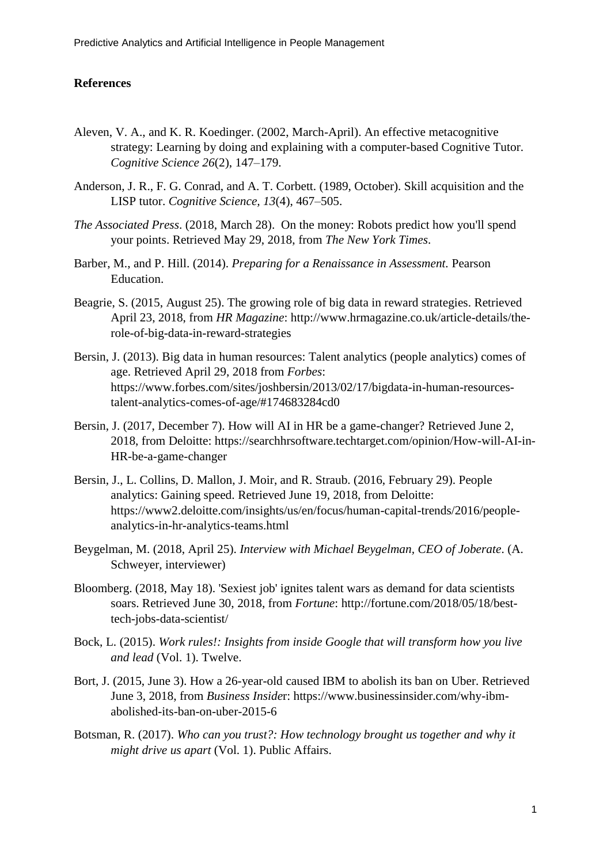## **References**

- Aleven, V. A., and K. R. Koedinger. (2002, March-April). An effective metacognitive strategy: Learning by doing and explaining with a computer-based Cognitive Tutor. *Cognitive Science 26*(2), 147–179.
- Anderson, J. R., F. G. Conrad, and A. T. Corbett. (1989, October). Skill acquisition and the LISP tutor. *Cognitive Science, 13*(4), 467–505.
- *The Associated Press*. (2018, March 28). On the money: Robots predict how you'll spend your points. Retrieved May 29, 2018, from *The New York Times*.
- Barber, M., and P. Hill. (2014). *Preparing for a Renaissance in Assessment.* Pearson Education.
- Beagrie, S. (2015, August 25). The growing role of big data in reward strategies. Retrieved April 23, 2018, from *HR Magazine*: http://www.hrmagazine.co.uk/article-details/therole-of-big-data-in-reward-strategies
- Bersin, J. (2013). Big data in human resources: Talent analytics (people analytics) comes of age. Retrieved April 29, 2018 from *Forbes*: https://www.forbes.com/sites/joshbersin/2013/02/17/bigdata-in-human-resourcestalent-analytics-comes-of-age/#174683284cd0
- Bersin, J. (2017, December 7). How will AI in HR be a game-changer? Retrieved June 2, 2018, from Deloitte: https://searchhrsoftware.techtarget.com/opinion/How-will-AI-in-HR-be-a-game-changer
- Bersin, J., L. Collins, D. Mallon, J. Moir, and R. Straub. (2016, February 29). People analytics: Gaining speed. Retrieved June 19, 2018, from Deloitte: https://www2.deloitte.com/insights/us/en/focus/human-capital-trends/2016/peopleanalytics-in-hr-analytics-teams.html
- Beygelman, M. (2018, April 25). *Interview with Michael Beygelman, CEO of Joberate*. (A. Schweyer, interviewer)
- Bloomberg. (2018, May 18). 'Sexiest job' ignites talent wars as demand for data scientists soars. Retrieved June 30, 2018, from *Fortune*: http://fortune.com/2018/05/18/besttech-jobs-data-scientist/
- Bock, L. (2015). *Work rules!: Insights from inside Google that will transform how you live and lead* (Vol. 1). Twelve.
- Bort, J. (2015, June 3). How a 26-year-old caused IBM to abolish its ban on Uber. Retrieved June 3, 2018, from *Business Inside*r: https://www.businessinsider.com/why-ibmabolished-its-ban-on-uber-2015-6
- Botsman, R. (2017). *Who can you trust?: How technology brought us together and why it might drive us apart* (Vol. 1). Public Affairs.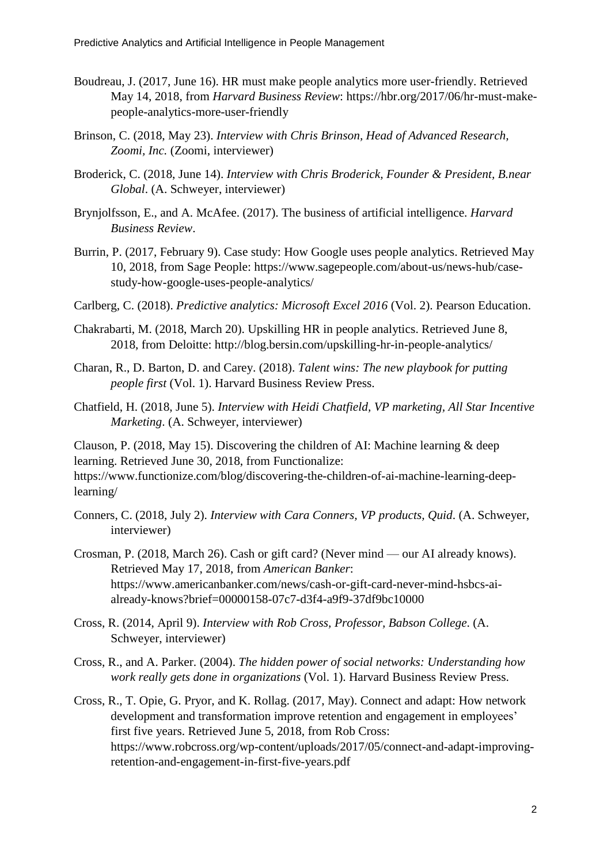- Boudreau, J. (2017, June 16). HR must make people analytics more user-friendly. Retrieved May 14, 2018, from *Harvard Business Review*: https://hbr.org/2017/06/hr-must-makepeople-analytics-more-user-friendly
- Brinson, C. (2018, May 23). *Interview with Chris Brinson, Head of Advanced Research, Zoomi, Inc.* (Zoomi, interviewer)
- Broderick, C. (2018, June 14). *Interview with Chris Broderick, Founder & President, B.near Global*. (A. Schweyer, interviewer)
- Brynjolfsson, E., and A. McAfee. (2017). The business of artificial intelligence. *Harvard Business Review*.
- Burrin, P. (2017, February 9). Case study: How Google uses people analytics. Retrieved May 10, 2018, from Sage People: https://www.sagepeople.com/about-us/news-hub/casestudy-how-google-uses-people-analytics/
- Carlberg, C. (2018). *Predictive analytics: Microsoft Excel 2016* (Vol. 2). Pearson Education.
- Chakrabarti, M. (2018, March 20). Upskilling HR in people analytics. Retrieved June 8, 2018, from Deloitte: http://blog.bersin.com/upskilling-hr-in-people-analytics/
- Charan, R., D. Barton, D. and Carey. (2018). *Talent wins: The new playbook for putting people first* (Vol. 1). Harvard Business Review Press.
- Chatfield, H. (2018, June 5). *Interview with Heidi Chatfield, VP marketing, All Star Incentive Marketing*. (A. Schweyer, interviewer)

Clauson, P. (2018, May 15). Discovering the children of AI: Machine learning & deep learning. Retrieved June 30, 2018, from Functionalize:

https://www.functionize.com/blog/discovering-the-children-of-ai-machine-learning-deeplearning/

- Conners, C. (2018, July 2). *Interview with Cara Conners, VP products, Quid*. (A. Schweyer, interviewer)
- Crosman, P. (2018, March 26). Cash or gift card? (Never mind our AI already knows). Retrieved May 17, 2018, from *American Banker*: https://www.americanbanker.com/news/cash-or-gift-card-never-mind-hsbcs-aialready-knows?brief=00000158-07c7-d3f4-a9f9-37df9bc10000
- Cross, R. (2014, April 9). *Interview with Rob Cross, Professor, Babson College*. (A. Schweyer, interviewer)
- Cross, R., and A. Parker. (2004). *The hidden power of social networks: Understanding how work really gets done in organizations* (Vol. 1). Harvard Business Review Press.
- Cross, R., T. Opie, G. Pryor, and K. Rollag. (2017, May). Connect and adapt: How network development and transformation improve retention and engagement in employees' first five years. Retrieved June 5, 2018, from Rob Cross: https://www.robcross.org/wp-content/uploads/2017/05/connect-and-adapt-improvingretention-and-engagement-in-first-five-years.pdf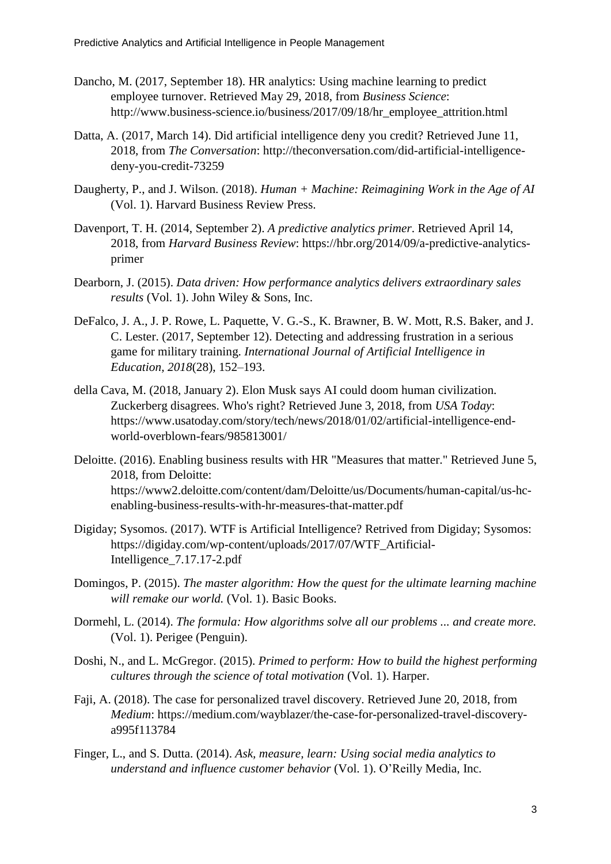- Dancho, M. (2017, September 18). HR analytics: Using machine learning to predict employee turnover. Retrieved May 29, 2018, from *Business Science*: http://www.business-science.io/business/2017/09/18/hr\_employee\_attrition.html
- Datta, A. (2017, March 14). Did artificial intelligence deny you credit? Retrieved June 11, 2018, from *The Conversation*: http://theconversation.com/did-artificial-intelligencedeny-you-credit-73259
- Daugherty, P., and J. Wilson. (2018). *Human + Machine: Reimagining Work in the Age of AI* (Vol. 1). Harvard Business Review Press.
- Davenport, T. H. (2014, September 2). *A predictive analytics primer*. Retrieved April 14, 2018, from *Harvard Business Review*: https://hbr.org/2014/09/a-predictive-analyticsprimer
- Dearborn, J. (2015). *Data driven: How performance analytics delivers extraordinary sales results* (Vol. 1). John Wiley & Sons, Inc.
- DeFalco, J. A., J. P. Rowe, L. Paquette, V. G.-S., K. Brawner, B. W. Mott, R.S. Baker, and J. C. Lester. (2017, September 12). Detecting and addressing frustration in a serious game for military training. *International Journal of Artificial Intelligence in Education, 2018*(28), 152–193.
- della Cava, M. (2018, January 2). Elon Musk says AI could doom human civilization. Zuckerberg disagrees. Who's right? Retrieved June 3, 2018, from *USA Today*: https://www.usatoday.com/story/tech/news/2018/01/02/artificial-intelligence-endworld-overblown-fears/985813001/
- Deloitte. (2016). Enabling business results with HR "Measures that matter." Retrieved June 5, 2018, from Deloitte: https://www2.deloitte.com/content/dam/Deloitte/us/Documents/human-capital/us-hcenabling-business-results-with-hr-measures-that-matter.pdf
- Digiday; Sysomos. (2017). WTF is Artificial Intelligence? Retrived from Digiday; Sysomos: https://digiday.com/wp-content/uploads/2017/07/WTF\_Artificial-Intelligence\_7.17.17-2.pdf
- Domingos, P. (2015). *The master algorithm: How the quest for the ultimate learning machine will remake our world.* (Vol. 1). Basic Books.
- Dormehl, L. (2014). *The formula: How algorithms solve all our problems ... and create more.* (Vol. 1). Perigee (Penguin).
- Doshi, N., and L. McGregor. (2015). *Primed to perform: How to build the highest performing cultures through the science of total motivation* (Vol. 1). Harper.
- Faji, A. (2018). The case for personalized travel discovery. Retrieved June 20, 2018, from *Medium*: https://medium.com/wayblazer/the-case-for-personalized-travel-discoverya995f113784
- Finger, L., and S. Dutta. (2014). *Ask, measure, learn: Using social media analytics to understand and influence customer behavior* (Vol. 1). O'Reilly Media, Inc.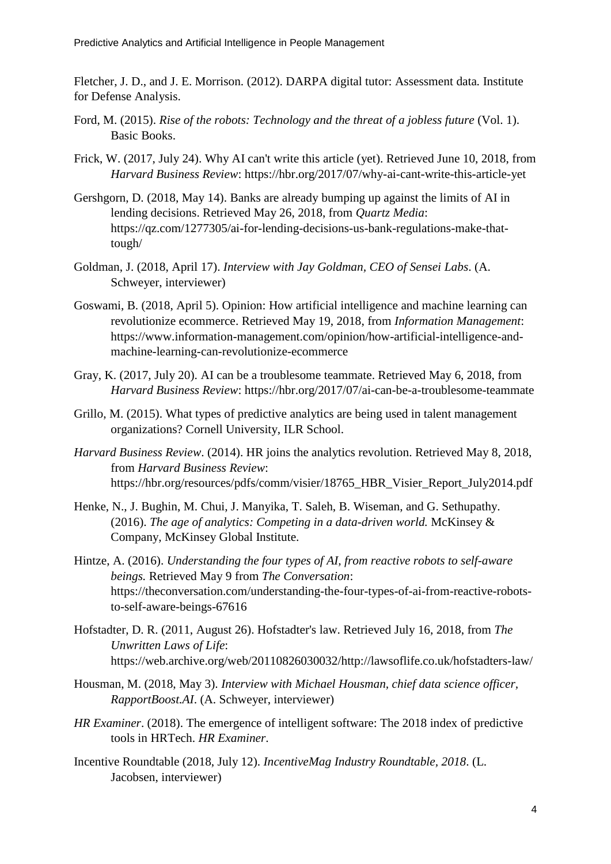Fletcher, J. D., and J. E. Morrison. (2012). DARPA digital tutor: Assessment data*.* Institute for Defense Analysis.

- Ford, M. (2015). *Rise of the robots: Technology and the threat of a jobless future* (Vol. 1). Basic Books.
- Frick, W. (2017, July 24). Why AI can't write this article (yet). Retrieved June 10, 2018, from *Harvard Business Review*: https://hbr.org/2017/07/why-ai-cant-write-this-article-yet
- Gershgorn, D. (2018, May 14). Banks are already bumping up against the limits of AI in lending decisions. Retrieved May 26, 2018, from *Quartz Media*: https://qz.com/1277305/ai-for-lending-decisions-us-bank-regulations-make-thattough/
- Goldman, J. (2018, April 17). *Interview with Jay Goldman, CEO of Sensei Labs*. (A. Schweyer, interviewer)
- Goswami, B. (2018, April 5). Opinion: How artificial intelligence and machine learning can revolutionize ecommerce. Retrieved May 19, 2018, from *Information Management*: https://www.information-management.com/opinion/how-artificial-intelligence-andmachine-learning-can-revolutionize-ecommerce
- Gray, K. (2017, July 20). AI can be a troublesome teammate. Retrieved May 6, 2018, from *Harvard Business Review*: https://hbr.org/2017/07/ai-can-be-a-troublesome-teammate
- Grillo, M. (2015). What types of predictive analytics are being used in talent management organizations? Cornell University, ILR School.
- *Harvard Business Review*. (2014). HR joins the analytics revolution. Retrieved May 8, 2018, from *Harvard Business Review*: https://hbr.org/resources/pdfs/comm/visier/18765\_HBR\_Visier\_Report\_July2014.pdf
- Henke, N., J. Bughin, M. Chui, J. Manyika, T. Saleh, B. Wiseman, and G. Sethupathy. (2016). *The age of analytics: Competing in a data-driven world.* McKinsey & Company, McKinsey Global Institute.
- Hintze, A. (2016). *Understanding the four types of AI, from reactive robots to self-aware beings.* Retrieved May 9 from *The Conversation*: https://theconversation.com/understanding-the-four-types-of-ai-from-reactive-robotsto-self-aware-beings-67616
- Hofstadter, D. R. (2011, August 26). Hofstadter's law. Retrieved July 16, 2018, from *The Unwritten Laws of Life*: https://web.archive.org/web/20110826030032/http://lawsoflife.co.uk/hofstadters-law/
- Housman, M. (2018, May 3). *Interview with Michael Housman, chief data science officer, RapportBoost.AI*. (A. Schweyer, interviewer)
- *HR Examiner*. (2018). The emergence of intelligent software: The 2018 index of predictive tools in HRTech. *HR Examiner*.
- Incentive Roundtable (2018, July 12). *IncentiveMag Industry Roundtable, 2018*. (L. Jacobsen, interviewer)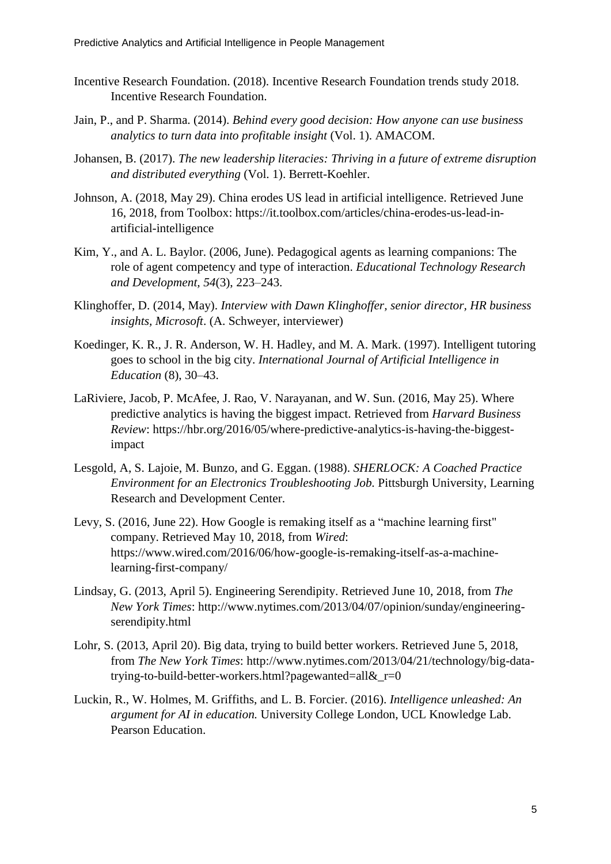- Incentive Research Foundation. (2018). Incentive Research Foundation trends study 2018. Incentive Research Foundation.
- Jain, P., and P. Sharma. (2014). *Behind every good decision: How anyone can use business analytics to turn data into profitable insight* (Vol. 1). AMACOM.
- Johansen, B. (2017). *The new leadership literacies: Thriving in a future of extreme disruption and distributed everything* (Vol. 1). Berrett-Koehler.
- Johnson, A. (2018, May 29). China erodes US lead in artificial intelligence. Retrieved June 16, 2018, from Toolbox: https://it.toolbox.com/articles/china-erodes-us-lead-inartificial-intelligence
- Kim, Y., and A. L. Baylor. (2006, June). Pedagogical agents as learning companions: The role of agent competency and type of interaction. *Educational Technology Research and Development, 54*(3), 223–243.
- Klinghoffer, D. (2014, May). *Interview with Dawn Klinghoffer, senior director, HR business insights, Microsoft*. (A. Schweyer, interviewer)
- Koedinger, K. R., J. R. Anderson, W. H. Hadley, and M. A. Mark. (1997). Intelligent tutoring goes to school in the big city. *International Journal of Artificial Intelligence in Education* (8), 30–43.
- LaRiviere, Jacob, P. McAfee, J. Rao, V. Narayanan, and W. Sun. (2016, May 25). Where predictive analytics is having the biggest impact. Retrieved from *Harvard Business Review*: https://hbr.org/2016/05/where-predictive-analytics-is-having-the-biggestimpact
- Lesgold, A, S. Lajoie, M. Bunzo, and G. Eggan. (1988). *SHERLOCK: A Coached Practice Environment for an Electronics Troubleshooting Job.* Pittsburgh University, Learning Research and Development Center.
- Levy, S. (2016, June 22). How Google is remaking itself as a "machine learning first" company. Retrieved May 10, 2018, from *Wired*: https://www.wired.com/2016/06/how-google-is-remaking-itself-as-a-machinelearning-first-company/
- Lindsay, G. (2013, April 5). Engineering Serendipity. Retrieved June 10, 2018, from *The New York Times*: http://www.nytimes.com/2013/04/07/opinion/sunday/engineeringserendipity.html
- Lohr, S. (2013, April 20). Big data, trying to build better workers. Retrieved June 5, 2018, from *The New York Times*: http://www.nytimes.com/2013/04/21/technology/big-datatrying-to-build-better-workers.html?pagewanted=all&\_r=0
- Luckin, R., W. Holmes, M. Griffiths, and L. B. Forcier. (2016). *Intelligence unleashed: An argument for AI in education.* University College London, UCL Knowledge Lab. Pearson Education.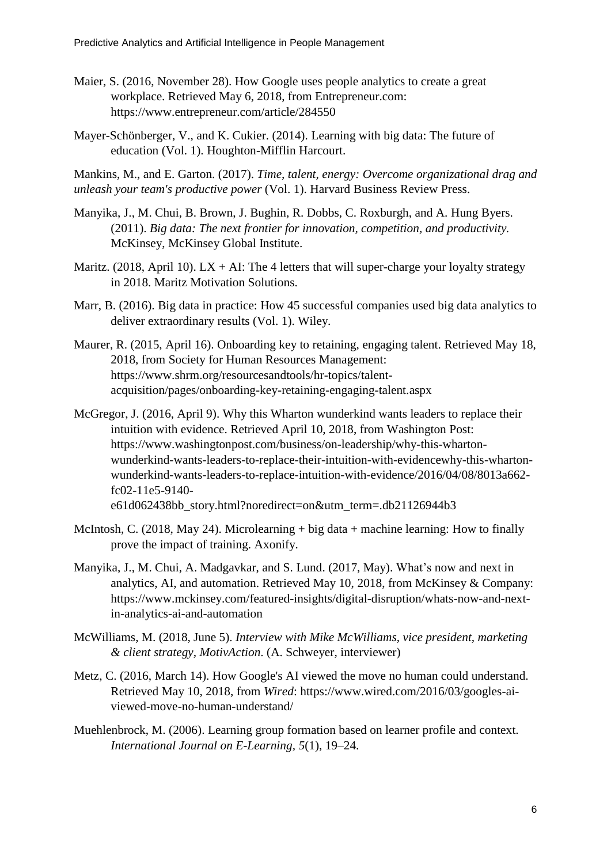- Maier, S. (2016, November 28). How Google uses people analytics to create a great workplace. Retrieved May 6, 2018, from Entrepreneur.com: https://www.entrepreneur.com/article/284550
- Mayer-Schönberger, V., and K. Cukier. (2014). Learning with big data: The future of education (Vol. 1). Houghton-Mifflin Harcourt.

Mankins, M., and E. Garton. (2017). *Time, talent, energy: Overcome organizational drag and unleash your team's productive power* (Vol. 1). Harvard Business Review Press.

- Manyika, J., M. Chui, B. Brown, J. Bughin, R. Dobbs, C. Roxburgh, and A. Hung Byers. (2011). *Big data: The next frontier for innovation, competition, and productivity.* McKinsey, McKinsey Global Institute.
- Maritz. (2018, April 10).  $LX + AI$ : The 4 letters that will super-charge your loyalty strategy in 2018. Maritz Motivation Solutions.
- Marr, B. (2016). Big data in practice: How 45 successful companies used big data analytics to deliver extraordinary results (Vol. 1). Wiley.
- Maurer, R. (2015, April 16). Onboarding key to retaining, engaging talent. Retrieved May 18, 2018, from Society for Human Resources Management: https://www.shrm.org/resourcesandtools/hr-topics/talentacquisition/pages/onboarding-key-retaining-engaging-talent.aspx
- McGregor, J. (2016, April 9). Why this Wharton wunderkind wants leaders to replace their intuition with evidence. Retrieved April 10, 2018, from Washington Post: https://www.washingtonpost.com/business/on-leadership/why-this-whartonwunderkind-wants-leaders-to-replace-their-intuition-with-evidencewhy-this-whartonwunderkind-wants-leaders-to-replace-intuition-with-evidence/2016/04/08/8013a662 fc02-11e5-9140 e61d062438bb\_story.html?noredirect=on&utm\_term=.db21126944b3
- McIntosh, C. (2018, May 24). Microlearning + big data + machine learning: How to finally prove the impact of training. Axonify.
- Manyika, J., M. Chui, A. Madgavkar, and S. Lund. (2017, May). What's now and next in analytics, AI, and automation. Retrieved May 10, 2018, from McKinsey & Company: https://www.mckinsey.com/featured-insights/digital-disruption/whats-now-and-nextin-analytics-ai-and-automation
- McWilliams, M. (2018, June 5). *Interview with Mike McWilliams, vice president, marketing & client strategy, MotivAction*. (A. Schweyer, interviewer)
- Metz, C. (2016, March 14). How Google's AI viewed the move no human could understand. Retrieved May 10, 2018, from *Wired*: https://www.wired.com/2016/03/googles-aiviewed-move-no-human-understand/
- Muehlenbrock, M. (2006). Learning group formation based on learner profile and context. *International Journal on E-Learning, 5*(1), 19–24.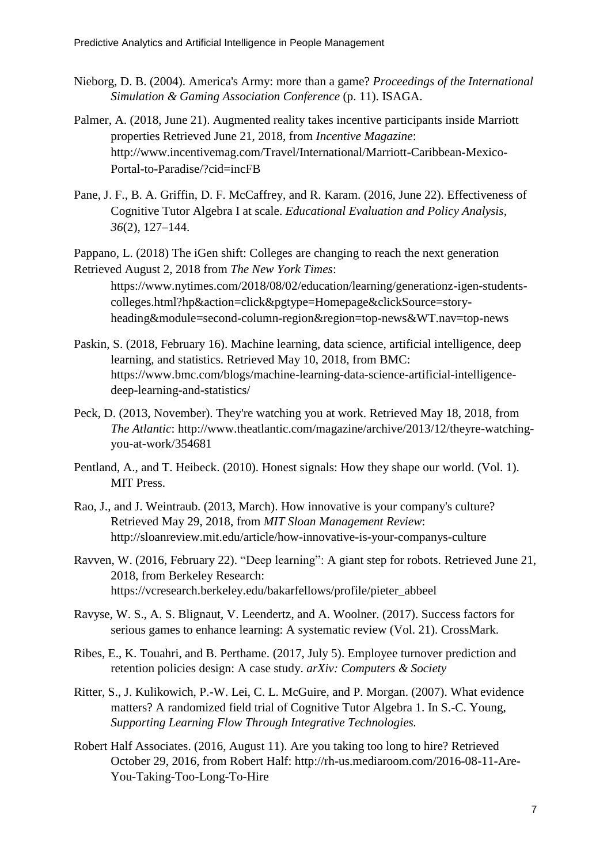- Nieborg, D. B. (2004). America's Army: more than a game? *Proceedings of the International Simulation & Gaming Association Conference* (p. 11). ISAGA.
- Palmer, A. (2018, June 21). Augmented reality takes incentive participants inside Marriott properties Retrieved June 21, 2018, from *Incentive Magazine*: http://www.incentivemag.com/Travel/International/Marriott-Caribbean-Mexico-Portal-to-Paradise/?cid=incFB
- Pane, J. F., B. A. Griffin, D. F. McCaffrey, and R. Karam. (2016, June 22). Effectiveness of Cognitive Tutor Algebra I at scale. *Educational Evaluation and Policy Analysis, 36*(2), 127–144.

Pappano, L. (2018) The iGen shift: Colleges are changing to reach the next generation Retrieved August 2, 2018 from *The New York Times*:

https://www.nytimes.com/2018/08/02/education/learning/generationz-igen-studentscolleges.html?hp&action=click&pgtype=Homepage&clickSource=storyheading&module=second-column-region&region=top-news&WT.nav=top-news

- Paskin, S. (2018, February 16). Machine learning, data science, artificial intelligence, deep learning, and statistics. Retrieved May 10, 2018, from BMC: https://www.bmc.com/blogs/machine-learning-data-science-artificial-intelligencedeep-learning-and-statistics/
- Peck, D. (2013, November). They're watching you at work. Retrieved May 18, 2018, from *The Atlantic*: http://www.theatlantic.com/magazine/archive/2013/12/theyre-watchingyou-at-work/354681
- Pentland, A., and T. Heibeck. (2010). Honest signals: How they shape our world. (Vol. 1). MIT Press.
- Rao, J., and J. Weintraub. (2013, March). How innovative is your company's culture? Retrieved May 29, 2018, from *MIT Sloan Management Review*: http://sloanreview.mit.edu/article/how-innovative-is-your-companys-culture
- Ravven, W. (2016, February 22). "Deep learning": A giant step for robots. Retrieved June 21, 2018, from Berkeley Research: https://vcresearch.berkeley.edu/bakarfellows/profile/pieter\_abbeel
- Ravyse, W. S., A. S. Blignaut, V. Leendertz, and A. Woolner. (2017). Success factors for serious games to enhance learning: A systematic review (Vol. 21). CrossMark.
- Ribes, E., K. Touahri, and B. Perthame. (2017, July 5). Employee turnover prediction and retention policies design: A case study. *arXiv: Computers & Society*
- Ritter, S., J. Kulikowich, P.-W. Lei, C. L. McGuire, and P. Morgan. (2007). What evidence matters? A randomized field trial of Cognitive Tutor Algebra 1. In S.-C. Young, *Supporting Learning Flow Through Integrative Technologies.*
- Robert Half Associates. (2016, August 11). Are you taking too long to hire? Retrieved October 29, 2016, from Robert Half: http://rh-us.mediaroom.com/2016-08-11-Are-You-Taking-Too-Long-To-Hire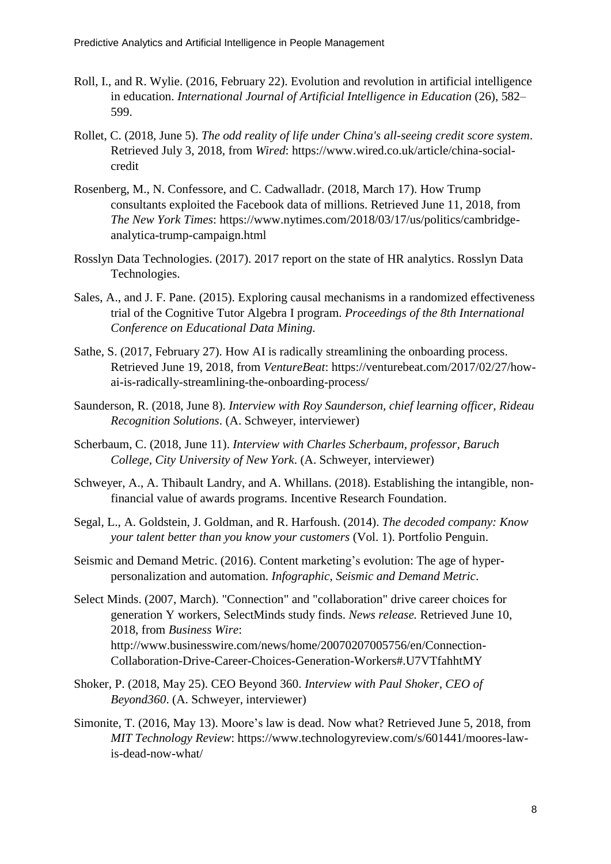- Roll, I., and R. Wylie. (2016, February 22). Evolution and revolution in artificial intelligence in education. *International Journal of Artificial Intelligence in Education* (26), 582– 599.
- Rollet, C. (2018, June 5). *The odd reality of life under China's all-seeing credit score system*. Retrieved July 3, 2018, from *Wired*: https://www.wired.co.uk/article/china-socialcredit
- Rosenberg, M., N. Confessore, and C. Cadwalladr. (2018, March 17). How Trump consultants exploited the Facebook data of millions. Retrieved June 11, 2018, from *The New York Times*: https://www.nytimes.com/2018/03/17/us/politics/cambridgeanalytica-trump-campaign.html
- Rosslyn Data Technologies. (2017). 2017 report on the state of HR analytics. Rosslyn Data Technologies.
- Sales, A., and J. F. Pane. (2015). Exploring causal mechanisms in a randomized effectiveness trial of the Cognitive Tutor Algebra I program. *Proceedings of the 8th International Conference on Educational Data Mining.*
- Sathe, S. (2017, February 27). How AI is radically streamlining the onboarding process. Retrieved June 19, 2018, from *VentureBeat*: https://venturebeat.com/2017/02/27/howai-is-radically-streamlining-the-onboarding-process/
- Saunderson, R. (2018, June 8). *Interview with Roy Saunderson, chief learning officer, Rideau Recognition Solutions*. (A. Schweyer, interviewer)
- Scherbaum, C. (2018, June 11). *Interview with Charles Scherbaum, professor, Baruch College, City University of New York*. (A. Schweyer, interviewer)
- Schweyer, A., A. Thibault Landry, and A. Whillans. (2018). Establishing the intangible, nonfinancial value of awards programs. Incentive Research Foundation.
- Segal, L., A. Goldstein, J. Goldman, and R. Harfoush. (2014). *The decoded company: Know your talent better than you know your customers* (Vol. 1). Portfolio Penguin.
- Seismic and Demand Metric. (2016). Content marketing's evolution: The age of hyperpersonalization and automation. *Infographic, Seismic and Demand Metric*.
- Select Minds. (2007, March). "Connection" and "collaboration" drive career choices for generation Y workers, SelectMinds study finds. *News release.* Retrieved June 10, 2018, from *Business Wire*: http://www.businesswire.com/news/home/20070207005756/en/Connection-Collaboration-Drive-Career-Choices-Generation-Workers#.U7VTfahhtMY
- Shoker, P. (2018, May 25). CEO Beyond 360. *Interview with Paul Shoker, CEO of Beyond360*. (A. Schweyer, interviewer)
- Simonite, T. (2016, May 13). Moore's law is dead. Now what? Retrieved June 5, 2018, from *MIT Technology Review*: https://www.technologyreview.com/s/601441/moores-lawis-dead-now-what/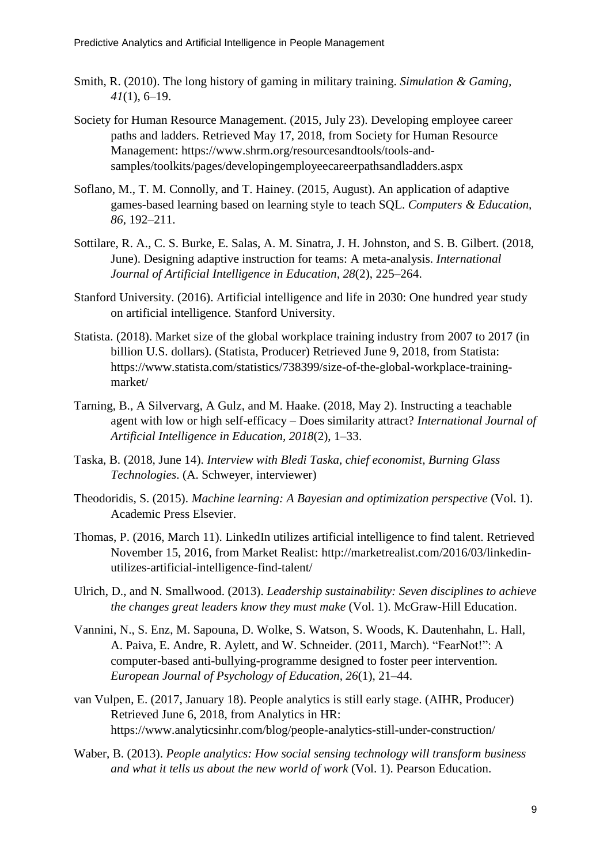- Smith, R. (2010). The long history of gaming in military training. *Simulation & Gaming, 41*(1), 6–19.
- Society for Human Resource Management. (2015, July 23). Developing employee career paths and ladders. Retrieved May 17, 2018, from Society for Human Resource Management: https://www.shrm.org/resourcesandtools/tools-andsamples/toolkits/pages/developingemployeecareerpathsandladders.aspx
- Soflano, M., T. M. Connolly, and T. Hainey. (2015, August). An application of adaptive games-based learning based on learning style to teach SQL. *Computers & Education, 86*, 192–211.
- Sottilare, R. A., C. S. Burke, E. Salas, A. M. Sinatra, J. H. Johnston, and S. B. Gilbert. (2018, June). Designing adaptive instruction for teams: A meta-analysis. *International Journal of Artificial Intelligence in Education, 28*(2), 225–264.
- Stanford University. (2016). Artificial intelligence and life in 2030: One hundred year study on artificial intelligence. Stanford University.
- Statista. (2018). Market size of the global workplace training industry from 2007 to 2017 (in billion U.S. dollars). (Statista, Producer) Retrieved June 9, 2018, from Statista: https://www.statista.com/statistics/738399/size-of-the-global-workplace-trainingmarket/
- Tarning, B., A Silvervarg, A Gulz, and M. Haake. (2018, May 2). Instructing a teachable agent with low or high self-efficacy – Does similarity attract? *International Journal of Artificial Intelligence in Education, 2018*(2), 1–33.
- Taska, B. (2018, June 14). *Interview with Bledi Taska, chief economist, Burning Glass Technologies*. (A. Schweyer, interviewer)
- Theodoridis, S. (2015). *Machine learning: A Bayesian and optimization perspective* (Vol. 1). Academic Press Elsevier.
- Thomas, P. (2016, March 11). LinkedIn utilizes artificial intelligence to find talent. Retrieved November 15, 2016, from Market Realist: http://marketrealist.com/2016/03/linkedinutilizes-artificial-intelligence-find-talent/
- Ulrich, D., and N. Smallwood. (2013). *Leadership sustainability: Seven disciplines to achieve the changes great leaders know they must make* (Vol. 1). McGraw-Hill Education.
- Vannini, N., S. Enz, M. Sapouna, D. Wolke, S. Watson, S. Woods, K. Dautenhahn, L. Hall, A. Paiva, E. Andre, R. Aylett, and W. Schneider. (2011, March). "FearNot!": A computer-based anti-bullying-programme designed to foster peer intervention. *European Journal of Psychology of Education, 26*(1), 21–44.
- van Vulpen, E. (2017, January 18). People analytics is still early stage. (AIHR, Producer) Retrieved June 6, 2018, from Analytics in HR: https://www.analyticsinhr.com/blog/people-analytics-still-under-construction/
- Waber, B. (2013). *People analytics: How social sensing technology will transform business and what it tells us about the new world of work* (Vol. 1). Pearson Education.